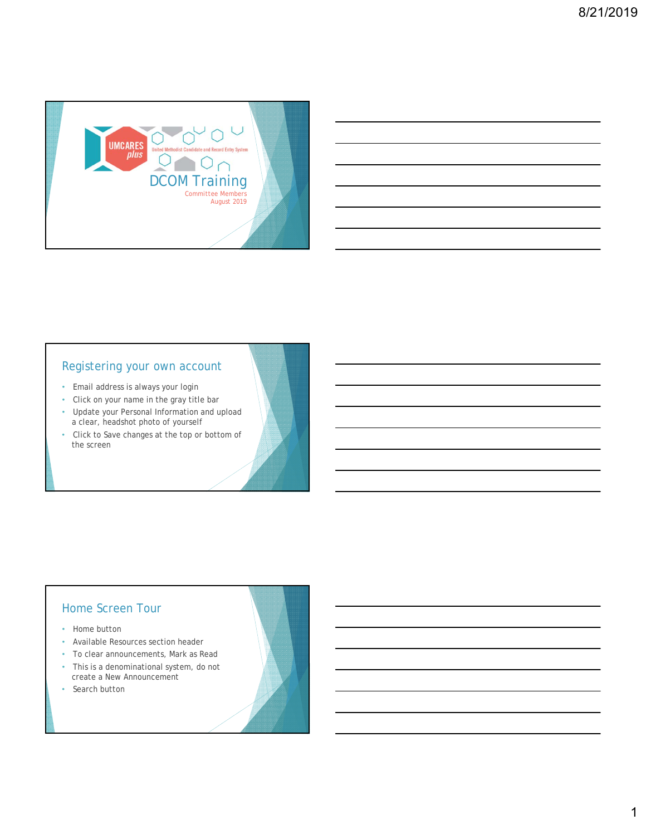

# Registering your own account

- Email address is always your login
- Click on your name in the gray title bar • Update your Personal Information and upload
- a clear, headshot photo of yourself
- Click to Save changes at the top or bottom of the screen

#### Home Screen Tour

- Home button
- Available Resources section header
- To clear announcements, Mark as Read
- This is a denominational system, do not create a New Announcement
- Search button